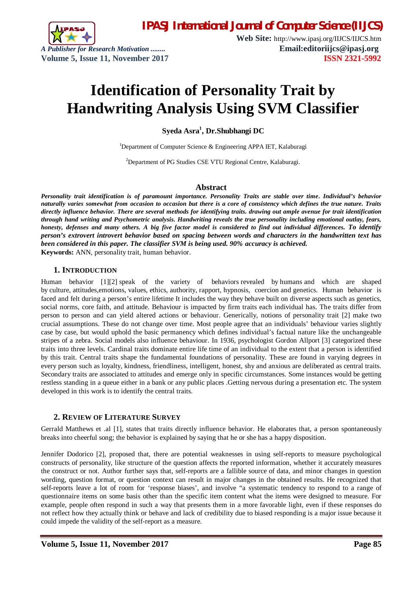

**Web Site:** http://www.ipasj.org/IIJCS/IIJCS.htm *A Publisher for Research Motivation ........* **Email:editoriijcs@ipasj.org Volume 5, Issue 11, November 2017 ISSN 2321-5992** 

# **Identification of Personality Trait by Handwriting Analysis Using SVM Classifier**

**Syeda Asra<sup>1</sup> , Dr.Shubhangi DC**

<sup>1</sup>Department of Computer Science & Engineering APPA IET, Kalaburagi

<sup>2</sup>Department of PG Studies CSE VTU Regional Centre, Kalaburagi.

#### **Abstract**

*Personality trait identification is of paramount importance. Personality Traits are stable over time. Individual's behavior naturally varies somewhat from occasion to occasion but there is a core of consistency which defines the true nature. Traits directly influence behavior. There are several methods for identifying traits. drawing out ample avenue for trait identification through hand writing and Psychometric analysis. Handwriting reveals the true personality including emotional outlay, fears, honesty, defenses and many others. A big five factor model is considered to find out individual differences. To identify person's extrovert introvert behavior based on spacing between words and characters in the handwritten text has been considered in this paper. The classifier SVM is being used. 90% accuracy is achieved.* **Keywords:** ANN, personality trait, human behavior.

## **1. INTRODUCTION**

Human behavior [1][2] speak of the variety of behaviors revealed by humans and which are shaped by culture, attitudes,emotions, values, ethics, authority, rapport, hypnosis, coercion and genetics. Human behavior is faced and felt during a person's entire lifetime It includes the way they behave built on diverse aspects such as genetics, social norms, core faith, and attitude. Behaviour is impacted by firm traits each individual has. The traits differ from person to person and can yield altered actions or behaviour. Generically, notions of personality trait [2] make two crucial assumptions. These do not change over time. Most people agree that an individuals' behaviour varies slightly case by case, but would uphold the basic permanency which defines individual's factual nature like the unchangeable stripes of a zebra. Social models also influence behaviour. In 1936, psychologist Gordon Allport [3] categorized these traits into three levels. Cardinal traits dominate entire life time of an individual to the extent that a person is identified by this trait. Central traits shape the fundamental foundations of personality. These are found in varying degrees in every person such as loyalty, kindness, friendliness, intelligent, honest, shy and anxious are deliberated as central traits. Secondary traits are associated to attitudes and emerge only in specific circumstances. Some instances would be getting restless standing in a queue either in a bank or any public places .Getting nervous during a presentation etc. The system developed in this work is to identify the central traits.

# **2. REVIEW OF LITERATURE SURVEY**

Gerrald Matthews et .al [1], states that traits directly influence behavior. He elaborates that, a person spontaneously breaks into cheerful song; the behavior is explained by saying that he or she has a happy disposition.

Jennifer Dodorico [2], proposed that, there are potential weaknesses in using self-reports to measure psychological constructs of personality, like structure of the question affects the reported information, whether it accurately measures the construct or not. Author further says that, self-reports are a fallible source of data, and minor changes in question wording, question format, or question context can result in major changes in the obtained results. He recognized that self-reports leave a lot of room for 'response biases', and involve "a systematic tendency to respond to a range of questionnaire items on some basis other than the specific item content what the items were designed to measure. For example, people often respond in such a way that presents them in a more favorable light, even if these responses do not reflect how they actually think or behave and lack of credibility due to biased responding is a major issue because it could impede the validity of the self-report as a measure.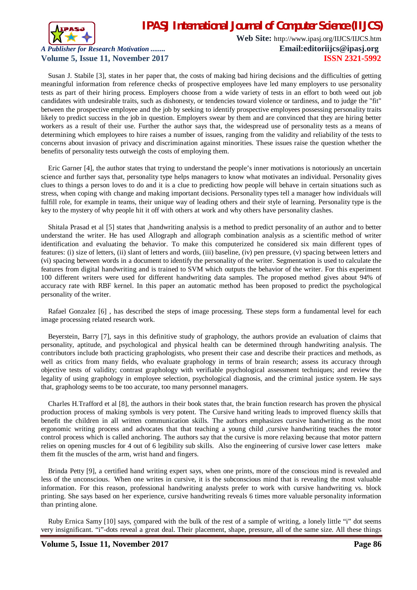

**Web Site:** http://www.ipasj.org/IIJCS/IIJCS.htm *A Publisher for Research Motivation ........* **Email:editoriijcs@ipasj.org Volume 5, Issue 11, November 2017 ISSN 2321-5992** 

Susan J. Stabile [3], states in her paper that, the costs of making bad hiring decisions and the difficulties of getting meaningful information from reference checks of prospective employees have led many employers to use personality tests as part of their hiring process. Employers choose from a wide variety of tests in an effort to both weed out job candidates with undesirable traits, such as dishonesty, or tendencies toward violence or tardiness, and to judge the "fit" between the prospective employee and the job by seeking to identify prospective employees possessing personality traits likely to predict success in the job in question. Employers swear by them and are convinced that they are hiring better workers as a result of their use. Further the author says that, the widespread use of personality tests as a means of determining which employees to hire raises a number of issues, ranging from the validity and reliability of the tests to concerns about invasion of privacy and discrimination against minorities. These issues raise the question whether the benefits of personality tests outweigh the costs of employing them.

Eric Garner [4], the author states that trying to understand the people's inner motivations is notoriously an uncertain science and further says that, personality type helps managers to know what motivates an individual. Personality gives clues to things a person loves to do and it is a clue to predicting how people will behave in certain situations such as stress, when coping with change and making important decisions. Personality types tell a manager how individuals will fulfill role, for example in teams, their unique way of leading others and their style of learning. Personality type is the key to the mystery of why people hit it off with others at work and why others have personality clashes.

Shitala Prasad et al [5] states that ,handwriting analysis is a method to predict personality of an author and to better understand the writer. He has used Allograph and allograph combination analysis as a scientific method of writer identification and evaluating the behavior. To make this computerized he considered six main different types of features: (i) size of letters, (ii) slant of letters and words, (iii) baseline, (iv) pen pressure, (v) spacing between letters and (vi) spacing between words in a document to identify the personality of the writer. Segmentation is used to calculate the features from digital handwriting and is trained to SVM which outputs the behavior of the writer. For this experiment 100 different writers were used for different handwriting data samples. The proposed method gives about 94% of accuracy rate with RBF kernel. In this paper an automatic method has been proposed to predict the psychological personality of the writer.

Rafael Gonzalez [6] , has described the steps of image processing. These steps form a fundamental level for each image processing related research work.

Beyerstein, Barry [7], says in this definitive study of graphology, the authors provide an evaluation of claims that personality, aptitude, and psychological and physical health can be determined through handwriting analysis. The contributors include both practicing graphologists, who present their case and describe their practices and methods, as well as critics from many fields, who evaluate graphology in terms of brain research; assess its accuracy through objective tests of validity; contrast graphology with verifiable psychological assessment techniques; and review the legality of using graphology in employee selection, psychological diagnosis, and the criminal justice system. He says that, graphology seems to be too accurate, too many personnel managers.

Charles H.Trafford et al [8], the authors in their book states that, the brain function research has proven the physical production process of making symbols is very potent. The Cursive hand writing leads to improved fluency skills that benefit the children in all written communication skills. The authors emphasizes cursive handwriting as the most ergonomic writing process and advocates that that teaching a young child ,cursive handwriting teaches the motor control process which is called anchoring. The authors say that the cursive is more relaxing because that motor pattern relies on opening muscles for 4 out of 6 legibility sub skills. Also the engineering of cursive lower case letters make them fit the muscles of the arm, wrist hand and fingers.

Brinda Petty [9], a certified hand writing expert says, when one prints, more of the conscious mind is revealed and less of the unconscious. When one writes in cursive, it is the subconscious mind that is revealing the most valuable information. For this reason, professional handwriting analysts prefer to work with cursive handwriting vs. block printing. She says based on her experience, cursive handwriting reveals 6 times more valuable personality information than printing alone.

Ruby Ernica Samy [10] says, compared with the bulk of the rest of a sample of writing, a lonely little "i" dot seems very insignificant. "i"-dots reveal a great deal. Their placement, shape, pressure, all of the same size. All these things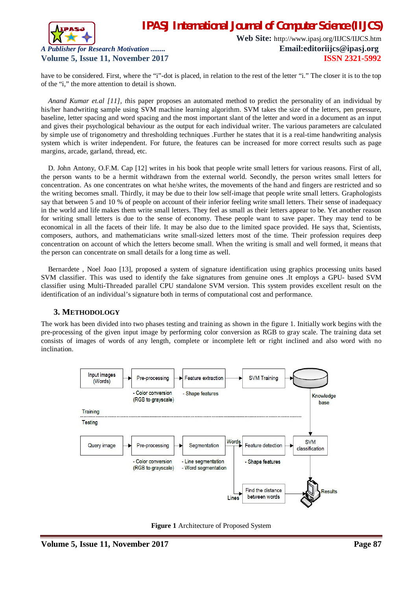

**Web Site:** http://www.ipasj.org/IIJCS/IIJCS.htm *A Publisher for Research Motivation ........* **Email:editoriijcs@ipasj.org Volume 5, Issue 11, November 2017 ISSN 2321-5992** 

have to be considered. First, where the "i"-dot is placed, in relation to the rest of the letter "i." The closer it is to the top of the "i," the more attention to detail is shown.

*Anand Kumar et.al [11], t*his paper proposes an automated method to predict the personality of an individual by his/her handwriting sample using SVM machine learning algorithm. SVM takes the size of the letters, pen pressure, baseline, letter spacing and word spacing and the most important slant of the letter and word in a document as an input and gives their psychological behaviour as the output for each individual writer. The various parameters are calculated by simple use of trigonometry and thresholding techniques .Further he states that it is a real-time handwriting analysis system which is writer independent. For future, the features can be increased for more correct results such as page margins, arcade, garland, thread, etc.

D. John Antony, O.F.M. Cap [12] writes in his book that people write small letters for various reasons. First of all, the person wants to be a hermit withdrawn from the external world. Secondly, the person writes small letters for concentration. As one concentrates on what he/she writes, the movements of the hand and fingers are restricted and so the writing becomes small. Thirdly, it may be due to their low self-image that people write small letters. Graphologists say that between 5 and 10 % of people on account of their inferior feeling write small letters. Their sense of inadequacy in the world and life makes them write small letters. They feel as small as their letters appear to be. Yet another reason for writing small letters is due to the sense of economy. These people want to save paper. They may tend to be economical in all the facets of their life. It may be also due to the limited space provided. He says that, Scientists, composers, authors, and mathematicians write small-sized letters most of the time. Their profession requires deep concentration on account of which the letters become small. When the writing is small and well formed, it means that the person can concentrate on small details for a long time as well.

Bernardete , Noel Joao [13], proposed a system of signature identification using graphics processing units based SVM classifier. This was used to identify the fake signatures from genuine ones .It employs a GPU- based SVM classifier using Multi-Threaded parallel CPU standalone SVM version. This system provides excellent result on the identification of an individual's signature both in terms of computational cost and performance.

# **3. METHODOLOGY**

The work has been divided into two phases testing and training as shown in the figure 1. Initially work begins with the pre-processing of the given input image by performing color conversion as RGB to gray scale. The training data set consists of images of words of any length, complete or incomplete left or right inclined and also word with no inclination.



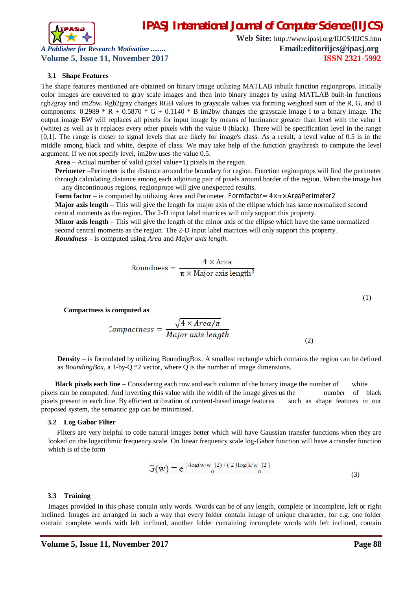

**Web Site:** http://www.ipasj.org/IIJCS/IIJCS.htm *A Publisher for Research Motivation ........* **Email:editoriijcs@ipasj.org Volume 5, Issue 11, November 2017 ISSN 2321-5992** 

#### **3.1 Shape Features**

The shape features mentioned are obtained on binary image utilizing MATLAB inbuilt function regionprops. Initially color images are converted to gray scale images and then into binary images by using MATLAB built-in functions rgb2gray and im2bw. Rgb2gray changes RGB values to grayscale values via forming weighted sum of the R, G, and B components:  $0.2989 * R + 0.5870 * G + 0.1140 * B$  im2bw changes the grayscale image I to a binary image. The output image BW will replaces all pixels for input image by means of luminance greater than level with the value 1 (white) as well as it replaces every other pixels with the value 0 (black). There will be specification level in the range [0,1]. The range is closer to signal levels that are likely for image's class. As a result, a level value of 0.5 is in the middle among black and white, despite of class. We may take help of the function graythresh to compute the level argument. If we not specify level, im2bw uses the value 0.5.

**Area** – Actual number of valid (pixel value=1) pixels in the region.

**Perimeter** –Perimeter is the distance around the boundary for region. Function regionprops will find the perimeter through calculating distance among each adjoining pair of pixels around border of the region. When the image has any discontinuous regions, regionprops will give unexpected results.

**Form factor** – is computed by utilizing Area and Perimeter. Formfactor= 4×π×AreaPerimeter2 **Major axis length** – This will give the length for major axis of the ellipse which has same normalized second central moments as the region. The 2-D input label matrices will only support this property.

**Minor axis length** – This will give the length of the minor axis of the ellipse which have the same normalized second central moments as the region. The 2-D input label matrices will only support this property. *Roundness* – is computed using *Area* and *Major axis length*.

$$
Roundness = \frac{4 \times Area}{\pi \times Major axis length^2}
$$

**Compactness is computed as**

$$
Comparness = \frac{\sqrt{4 \times Area/\pi}}{Major \ axis \ length}
$$
\n(2)

**Density** – is formulated by utilizing BoundingBox. A smallest rectangle which contains the region can be defined as *BoundingBox*, a 1-by-Q \*2 vector, where Q is the number of image dimensions.

**Black pixels each line** – Considering each row and each column of the binary image the number of white pixels can be computed. And inverting this value with the width of the image gives us the number of black pixels present in each line. By efficient utilization of content-based image features such as shape features in our proposed system, the semantic gap can be minimized.

#### **3.2 Log Gabor Filter**

 Filters are very helpful to code natural images better which will have Gaussian transfer functions when they are looked on the logarithmic frequency scale. On linear frequency scale log-Gabor function will have a transfer function which is of the form

$$
G(w) = e^{(-\log(w/w_0)2) / (2 (\log(k/w_0)2))}
$$
\n(3)

#### **3.3 Training**

Images provided in this phase contain only words. Words can be of any length, complete or incomplete, left or right inclined. Images are arranged in such a way that every folder contain image of unique character, for e.g. one folder contain complete words with left inclined, another folder containing incomplete words with left inclined, contain

(1)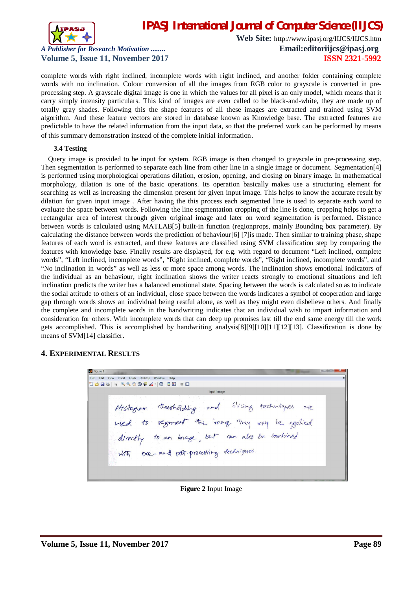

**Web Site:** http://www.ipasj.org/IIJCS/IIJCS.htm *A Publisher for Research Motivation ........* **Email:editoriijcs@ipasj.org Volume 5, Issue 11, November 2017 ISSN 2321-5992** 

complete words with right inclined, incomplete words with right inclined, and another folder containing complete words with no inclination. Colour conversion of all the images from RGB color to grayscale is converted in preprocessing step. A grayscale digital image is one in which the values for all pixel is an only model, which means that it carry simply intensity particulars. This kind of images are even called to be black-and-white, they are made up of totally gray shades. Following this the shape features of all these images are extracted and trained using SVM algorithm. And these feature vectors are stored in database known as Knowledge base. The extracted features are predictable to have the related information from the input data, so that the preferred work can be performed by means of this summary demonstration instead of the complete initial information.

#### **3.4 Testing**

Query image is provided to be input for system. RGB image is then changed to grayscale in pre-processing step. Then segmentation is performed to separate each line from other line in a single image or document. Segmentation[4] is performed using morphological operations dilation, erosion, opening, and closing on binary image. In mathematical morphology, dilation is one of the basic operations. Its operation basically makes use a structuring element for searching as well as increasing the dimension present for given input image. This helps to know the accurate result by dilation for given input image . After having the this process each segmented line is used to separate each word to evaluate the space between words. Following the line segmentation cropping of the line is done, cropping helps to get a rectangular area of interest through given original image and later on word segmentation is performed. Distance between words is calculated using MATLAB[5] built-in function (regionprops, mainly Bounding box parameter). By calculating the distance between words the prediction of behaviour[6] [7]is made. Then similar to training phase, shape features of each word is extracted, and these features are classified using SVM classification step by comparing the features with knowledge base. Finally results are displayed, for e.g. with regard to document "Left inclined, complete words", "Left inclined, incomplete words", "Right inclined, complete words", "Right inclined, incomplete words", and "No inclination in words" as well as less or more space among words. The inclination shows emotional indicators of the individual as an behaviour, right inclination shows the writer reacts strongly to emotional situations and left inclination predicts the writer has a balanced emotional state. Spacing between the words is calculated so as to indicate the social attitude to others of an individual, close space between the words indicates a symbol of cooperation and large gap through words shows an individual being restful alone, as well as they might even disbelieve others. And finally the complete and incomplete words in the handwriting indicates that an individual wish to impart information and consideration for others. With incomplete words that can deep up promises last till the end same energy till the work gets accomplished. This is accomplished by handwriting analysis[8][9][10][11][12][13]. Classification is done by means of SVM[14] classifier.

#### **4. EXPERIMENTAL RESULTS**

 $\frac{1}{2}$  Figure 1 File Edit View Insert Tools Desktop Windo **DBUS AGOOD A-BIED** Histogram thresholding and Slicing techniques are<br>wed to segment the ining. They over be applied<br>directly to an image, but an also be combined pre-and pot-processing techniques

**Figure 2** Input Image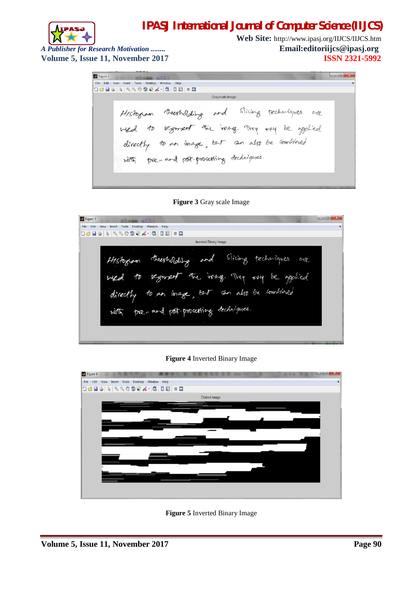

**Web Site:** http://www.ipasj.org/IIJCS/IIJCS.htm *A Publisher for Research Motivation ........* **Email:editoriijcs@ipasj.org** 

**Volume 5, Issue 11, November 2017 ISSN 2321-5992** 

Figure 2 File Edit View Insert Tools Desktop Window **Deas Resport.** (3 | De - 0 Grayscale Image Histogram thresholding and Slicing techniques are whed to segment the inage. They only be applied directly to an image, but an also be combined with pre-and pot-processing techniques.

**Figure 3** Gray scale Image

| $\Box$ $\Box$<br>Figure 3                                                                                                                                                                                                | $\mathbf{R}$ |  |
|--------------------------------------------------------------------------------------------------------------------------------------------------------------------------------------------------------------------------|--------------|--|
| Edit<br>File<br>View<br>Insert<br>Tools<br>Help<br>Desktop<br>Window                                                                                                                                                     |              |  |
| $k \mid \mathcal{A} \in \mathcal{A} \text{ for } \mathcal{A} \cdot  \mathcal{B} $<br>88 89<br><b>H</b> 9                                                                                                                 |              |  |
| <b>Inverted Binary Image</b>                                                                                                                                                                                             |              |  |
| and Slicing techniques<br>thresholding<br>ave<br>Histogiam<br>segment the inage. They<br>be applied<br>忉<br>Aga<br>We<br>but can also be combined<br>to an longe,<br>directly<br>pre-and pot-processing techniques.<br>而 |              |  |

**Figure 4** Inverted Binary Image



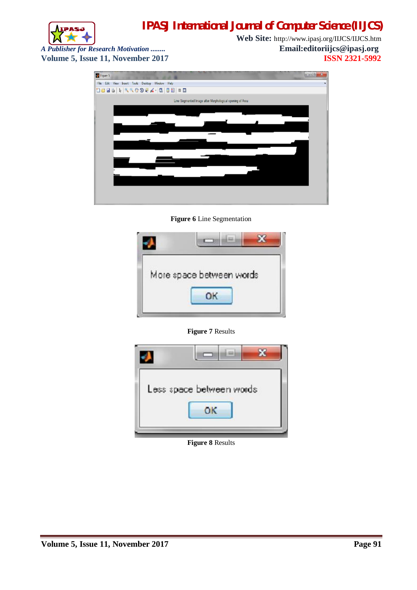



**Web Site:** http://www.ipasj.org/IIJCS/IIJCS.htm *A Publisher for Research Motivation ........*<br> **Email:editoriijcs@ipasj.org Volume 5.** ISSN 2321-5992



**Figure 6** Line Segmentation



**Figure 7** Results



**Figure 8** Results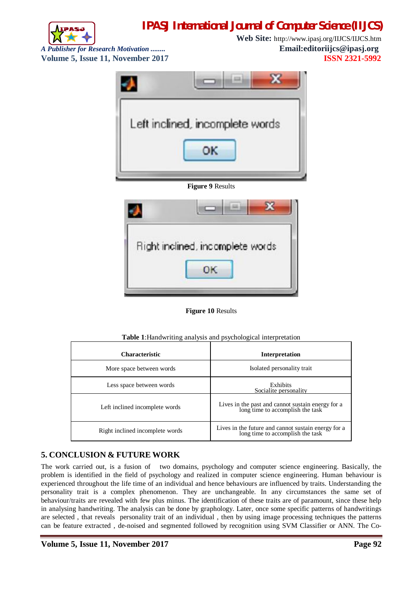

**Web Site:** http://www.ipasj.org/IIJCS/IIJCS.htm *A Publisher for Research Motivation ........* **Email:editoriijcs@ipasj.org Volume 5, Issue 11, November 2017 ISSN 2321-5992** 



**Figure 10** Results

| <b>Characteristic</b>           | Interpretation                                                                          |
|---------------------------------|-----------------------------------------------------------------------------------------|
| More space between words        | Isolated personality trait                                                              |
| Less space between words        | Exhibits<br>Socialite personality                                                       |
| Left inclined incomplete words  | Lives in the past and cannot sustain energy for a<br>long time to accomplish the task   |
| Right inclined incomplete words | Lives in the future and cannot sustain energy for a<br>long time to accomplish the task |

#### **Table 1**:Handwriting analysis and psychological interpretation

# **5. CONCLUSION & FUTURE WORK**

The work carried out, is a fusion of two domains, psychology and computer science engineering. Basically, the problem is identified in the field of psychology and realized in computer science engineering. Human behaviour is experienced throughout the life time of an individual and hence behaviours are influenced by traits. Understanding the personality trait is a complex phenomenon. They are unchangeable. In any circumstances the same set of behaviour/traits are revealed with few plus minus. The identification of these traits are of paramount, since these help in analysing handwriting. The analysis can be done by graphology. Later, once some specific patterns of handwritings are selected , that reveals personality trait of an individual , then by using image processing techniques the patterns can be feature extracted , de-noised and segmented followed by recognition using SVM Classifier or ANN. The Co-